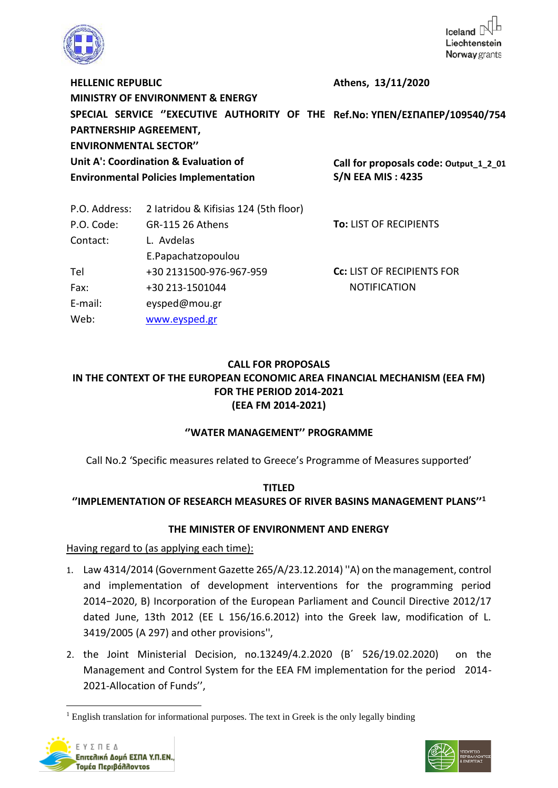

**HELLENIC REPUBLIC MINISTRY OF ENVIRONMENT & ENERGY SPECIAL SERVICE ''EXECUTIVE AUTHORITY OF THE Ref.No: ΥΠΕΝ/ΕΣΠΑΠΕΡ/109540/754 PARTNERSHIP AGREEMENT, ENVIRONMENTAL SECTOR'' Unit A': Coordination & Evaluation of Environmental Policies Implementation Athens, 13/11/2020 Call for proposals code: Output\_1\_2\_01 S/N EEA MIS : 4235**

| 2 latridou & Kifisias 124 (5th floor) |                                   |
|---------------------------------------|-----------------------------------|
| GR-115 26 Athens                      | <b>To: LIST OF RECIPIENTS</b>     |
| L. Avdelas                            |                                   |
| E.Papachatzopoulou                    |                                   |
| +30 2131500-976-967-959               | <b>CC: LIST OF RECIPIENTS FOR</b> |
| +30 213-1501044                       | <b>NOTIFICATION</b>               |
| eysped@mou.gr                         |                                   |
| www.eysped.gr                         |                                   |
|                                       |                                   |

# **CALL FOR PROPOSALS IN THE CONTEXT OF THE EUROPEAN ECONOMIC AREA FINANCIAL MECHANISM (EEA FM) FOR THE PERIOD 2014-2021 (EEA FM 2014-2021)**

### **''WATER MANAGEMENT'' PROGRAMME**

Call No.2 'Specific measures related to Greece's Programme of Measures supported'

### **TITLED ''ΙMPLEMENTATION OF RESEARCH MEASURES OF RIVER BASINS MANAGEMENT PLANS''<sup>1</sup>**

### **THE MINISTER OF ENVIRONMENT AND ENERGY**

Having regard to (as applying each time):

- 1. Law 4314/2014 (Government Gazette 265/A/23.12.2014) ''Α) on the management, control and implementation of development interventions for the programming period 2014−2020, Β) Incorporation of the European Parliament and Council Directive 2012/17 dated June, 13th 2012 (ΕΕ L 156/16.6.2012) into the Greek law, modification of L. 3419/2005 (Α 297) and other provisions'',
- 2. the Joint Ministerial Decision, no.13249/4.2.2020 (Β΄ 526/19.02.2020) on the Management and Control System for the EEA FM implementation for the period 2014- 2021-Allocation of Funds'',

 $<sup>1</sup>$  English translation for informational purposes. The text in Greek is the only legally binding</sup>



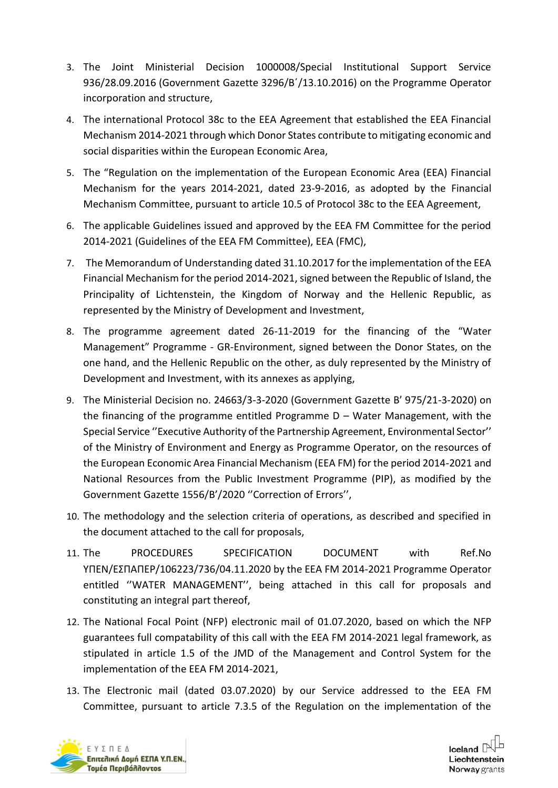- 3. The Joint Ministerial Decision 1000008/Special Institutional Support Service 936/28.09.2016 (Government Gazette 3296/Β΄/13.10.2016) on the Programme Operator incorporation and structure,
- 4. The international Protocol 38c to the EEA Agreement that established the EEA Financial Mechanism 2014-2021 through which Donor States contribute to mitigating economic and social disparities within the European Economic Area,
- 5. The "Regulation on the implementation of the European Economic Area (EEA) Financial Mechanism for the years 2014-2021, dated 23-9-2016, as adopted by the Financial Mechanism Committee, pursuant to article 10.5 of Protocol 38c to the EEA Agreement,
- 6. The applicable Guidelines issued and approved by the EEA FM Committee for the period 2014-2021 (Guidelines of the EEA FM Committee), EEA (FMC),
- 7. The Memorandum of Understanding dated 31.10.2017 for the implementation of the EEA Financial Mechanism for the period 2014-2021, signed between the Republic of Island, the Principality of Lichtenstein, the Kingdom of Norway and the Hellenic Republic, as represented by the Ministry of Development and Investment,
- 8. The programme agreement dated 26-11-2019 for the financing of the "Water Management" Programme - GR-Environment, signed between the Donor States, on the one hand, and the Hellenic Republic on the other, as duly represented by the Ministry of Development and Investment, with its annexes as applying,
- 9. The Ministerial Decision no. 24663/3-3-2020 (Government Gazette Β' 975/21-3-2020) on the financing of the programme entitled Programme  $D - W$ ater Management, with the Special Service ''Executive Authority of the Partnership Agreement, Environmental Sector'' of the Ministry of Environment and Energy as Programme Operator, on the resources of the European Economic Area Financial Mechanism (EEA FM) for the period 2014-2021 and National Resources from the Public Investment Programme (PIP), as modified by the Government Gazette 1556/Β'/2020 ''Correction of Errors'',
- 10. The methodology and the selection criteria of operations, as described and specified in the document attached to the call for proposals,
- 11. The PROCEDURES SPECIFICATION DOCUMENT with Ref.No ΥΠΕΝ/ΕΣΠΑΠΕΡ/106223/736/04.11.2020 by the EEA FM 2014-2021 Programme Operator entitled ''WATER MANAGEMENT'', being attached in this call for proposals and constituting an integral part thereof,
- 12. The National Focal Point (NFP) electronic mail of 01.07.2020, based on which the NFP guarantees full compatability of this call with the EEA FM 2014-2021 legal framework, as stipulated in article 1.5 of the JMD of the Management and Control System for the implementation of the EEA FM 2014-2021,
- 13. The Electronic mail (dated 03.07.2020) by our Service addressed to the EEA FM Committee, pursuant to article 7.3.5 of the Regulation on the implementation of the



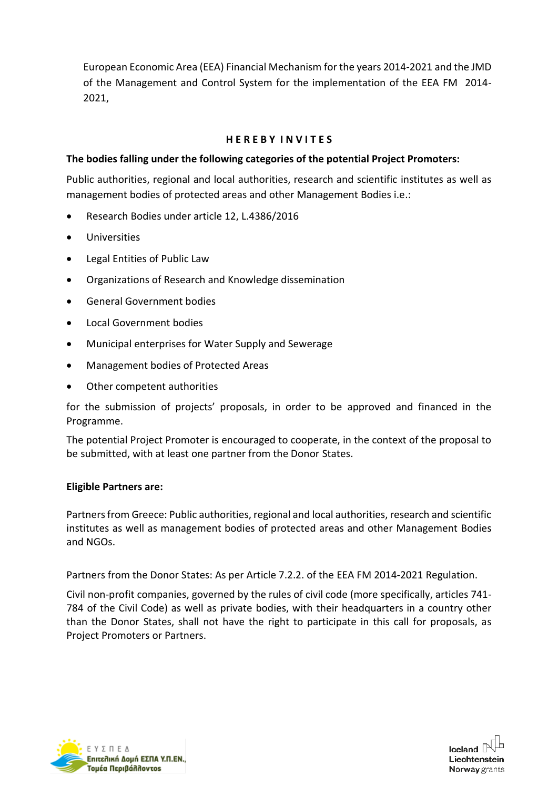European Economic Area (EEA) Financial Mechanism for the years 2014-2021 and the JMD of the Management and Control System for the implementation of the EEA FM 2014- 2021,

### **H E R E B Y I N V I T E S**

### **The bodies falling under the following categories of the potential Project Promoters:**

Public authorities, regional and local authorities, research and scientific institutes as well as management bodies of protected areas and other Management Bodies i.e.:

- Research Bodies under article 12, L.4386/2016
- Universities
- Legal Entities of Public Law
- Organizations of Research and Knowledge dissemination
- General Government bodies
- Local Government bodies
- Municipal enterprises for Water Supply and Sewerage
- Management bodies of Protected Areas
- Other competent authorities

for the submission of projects' proposals, in order to be approved and financed in the Programme.

The potential Project Promoter is encouraged to cooperate, in the context of the proposal to be submitted, with at least one partner from the Donor States.

#### **Eligible Partners are:**

Partners from Greece: Public authorities, regional and local authorities, research and scientific institutes as well as management bodies of protected areas and other Management Bodies and NGOs.

Partners from the Donor States: As per Article 7.2.2. of the EEA FM 2014-2021 Regulation.

Civil non-profit companies, governed by the rules of civil code (more specifically, articles 741- 784 of the Civil Code) as well as private bodies, with their headquarters in a country other than the Donor States, shall not have the right to participate in this call for proposals, as Project Promoters or Partners.



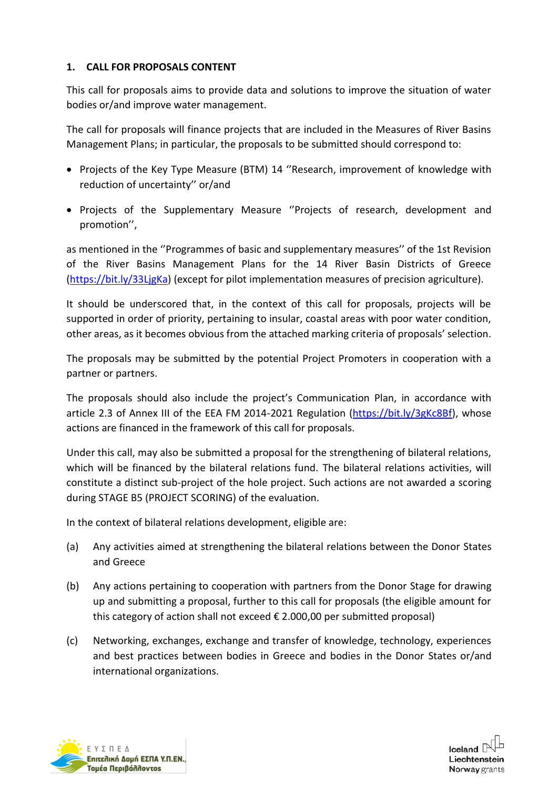## **1. CALL FOR PROPOSALS CONTENT**

This call for proposals aims to provide data and solutions to improve the situation of water bodies or/and improve water management.

The call for proposals will finance projects that are included in the Measures of River Basins Management Plans; in particular, the proposals to be submitted should correspond to:

- Projects of the Key Type Measure (ΒΤΜ) 14 ''Research, improvement of knowledge with reduction of uncertainty'' or/and
- Projects of the Supplementary Measure ''Projects of research, development and promotion'',

as mentioned in the ''Programmes of basic and supplementary measures'' of the 1st Revision of the River Basins Management Plans for the 14 River Basin Districts of Greece [\(https://bit.ly/33LjgKa\)](https://bit.ly/33LjgKa) (except for pilot implementation measures of precision agriculture).

It should be underscored that, in the context of this call for proposals, projects will be supported in order of priority, pertaining to insular, coastal areas with poor water condition, other areas, as it becomes obvious from the attached marking criteria of proposals' selection.

The proposals may be submitted by the potential Project Promoters in cooperation with a partner or partners.

The proposals should also include the project's Communication Plan, in accordance with article 2.3 of Annex III of the EEA FM 2014-2021 Regulation [\(https://bit.ly/3gKc8Bf\)](https://bit.ly/3gKc8Bf), whose actions are financed in the framework of this call for proposals.

Under this call, may also be submitted a proposal for the strengthening of bilateral relations, which will be financed by the bilateral relations fund. The bilateral relations activities, will constitute a distinct sub-project of the hole project. Such actions are not awarded a scoring during STAGE B5 (PROJECT SCORING) of the evaluation.

In the context of bilateral relations development, eligible are:

- (a) Any activities aimed at strengthening the bilateral relations between the Donor States and Greece
- (b) Any actions pertaining to cooperation with partners from the Donor Stage for drawing up and submitting a proposal, further to this call for proposals (the eligible amount for this category of action shall not exceed  $\epsilon$  2.000,00 per submitted proposal)
- (c) Networking, exchanges, exchange and transfer of knowledge, technology, experiences and best practices between bodies in Greece and bodies in the Donor States or/and international organizations.



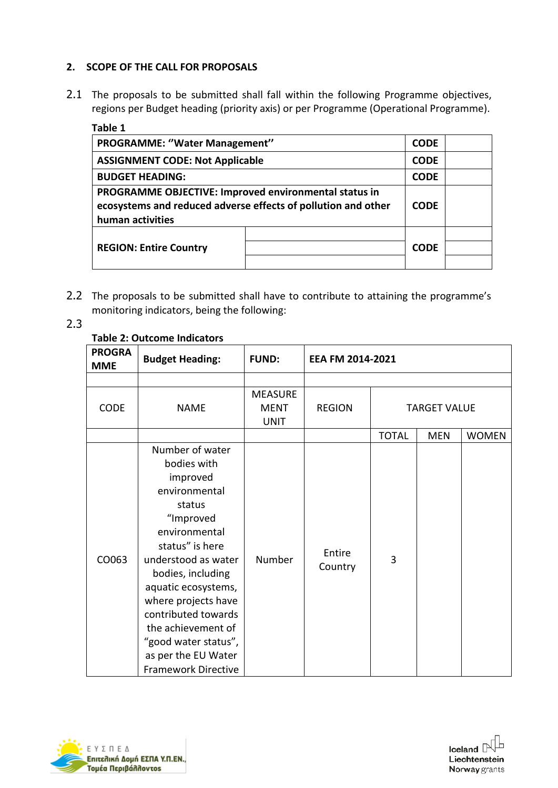# **2. SCOPE OF THE CALL FOR PROPOSALS**

2.1 The proposals to be submitted shall fall within the following Programme objectives, regions per Budget heading (priority axis) or per Programme (Operational Programme).

| Table 1                                                                                                                                    |  |             |  |
|--------------------------------------------------------------------------------------------------------------------------------------------|--|-------------|--|
| PROGRAMME: "Water Management"                                                                                                              |  |             |  |
| <b>ASSIGNMENT CODE: Not Applicable</b>                                                                                                     |  |             |  |
| <b>BUDGET HEADING:</b>                                                                                                                     |  |             |  |
| PROGRAMME OBJECTIVE: Improved environmental status in<br>ecosystems and reduced adverse effects of pollution and other<br>human activities |  |             |  |
|                                                                                                                                            |  |             |  |
| <b>REGION: Entire Country</b>                                                                                                              |  | <b>CODE</b> |  |
|                                                                                                                                            |  |             |  |

- 2.2 The proposals to be submitted shall have to contribute to attaining the programme's monitoring indicators, being the following:
- 2.3

### **Table 2: Outcome Indicators**

| <b>PROGRA</b><br><b>MME</b> | <b>Budget Heading:</b>                                                                                                                                                                                                                                                                                                                     | <b>FUND:</b>                                 | EEA FM 2014-2021  |              |                     |              |
|-----------------------------|--------------------------------------------------------------------------------------------------------------------------------------------------------------------------------------------------------------------------------------------------------------------------------------------------------------------------------------------|----------------------------------------------|-------------------|--------------|---------------------|--------------|
|                             |                                                                                                                                                                                                                                                                                                                                            |                                              |                   |              |                     |              |
| <b>CODE</b>                 | <b>NAME</b>                                                                                                                                                                                                                                                                                                                                | <b>MEASURE</b><br><b>MENT</b><br><b>UNIT</b> | <b>REGION</b>     |              | <b>TARGET VALUE</b> |              |
|                             |                                                                                                                                                                                                                                                                                                                                            |                                              |                   | <b>TOTAL</b> | <b>MEN</b>          | <b>WOMEN</b> |
| CO063                       | Number of water<br>bodies with<br>improved<br>environmental<br>status<br>"Improved<br>environmental<br>status" is here<br>understood as water<br>bodies, including<br>aquatic ecosystems,<br>where projects have<br>contributed towards<br>the achievement of<br>"good water status",<br>as per the EU Water<br><b>Framework Directive</b> | Number                                       | Entire<br>Country | 3            |                     |              |



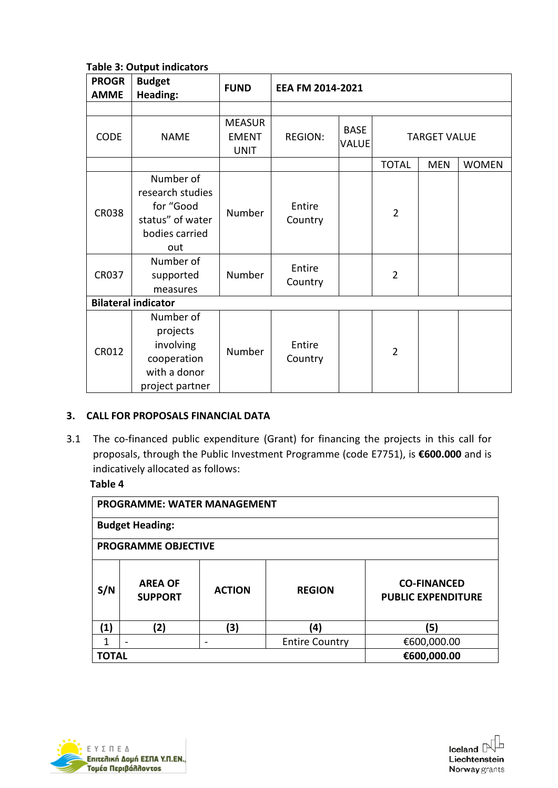**Table 3: Output indicators**

| <b>PROGR</b><br><b>AMME</b>  | <b>Budget</b><br>Heading:                                                                                         | <b>FUND</b>                                  | EEA FM 2014-2021                       |                             |                                  |            |              |
|------------------------------|-------------------------------------------------------------------------------------------------------------------|----------------------------------------------|----------------------------------------|-----------------------------|----------------------------------|------------|--------------|
|                              |                                                                                                                   |                                              |                                        |                             |                                  |            |              |
| <b>CODE</b>                  | <b>NAME</b>                                                                                                       | <b>MEASUR</b><br><b>EMENT</b><br><b>UNIT</b> | <b>REGION:</b>                         | <b>BASE</b><br><b>VALUE</b> | <b>TARGET VALUE</b>              |            |              |
|                              |                                                                                                                   |                                              |                                        |                             | <b>TOTAL</b>                     | <b>MEN</b> | <b>WOMEN</b> |
| <b>CR038</b><br><b>CR037</b> | Number of<br>research studies<br>for "Good<br>status" of water<br>bodies carried<br>out<br>Number of<br>supported | Number<br>Number                             | Entire<br>Country<br>Entire<br>Country |                             | $\overline{2}$<br>$\overline{2}$ |            |              |
|                              | measures                                                                                                          |                                              |                                        |                             |                                  |            |              |
| <b>Bilateral indicator</b>   |                                                                                                                   |                                              |                                        |                             |                                  |            |              |
| CR012                        | Number of<br>projects<br>involving<br>cooperation<br>with a donor<br>project partner                              | Number                                       | Entire<br>Country                      |                             | $\overline{2}$                   |            |              |

### **3. CALL FOR PROPOSALS FINANCIAL DATA**

3.1 The co-financed public expenditure (Grant) for financing the projects in this call for proposals, through the Public Investment Programme (code Ε7751), is **€600.000** and is indicatively allocated as follows:

#### **Table 4**

| <b>PROGRAMME: WATER MANAGEMENT</b> |                                  |               |                       |                                                 |  |  |
|------------------------------------|----------------------------------|---------------|-----------------------|-------------------------------------------------|--|--|
| <b>Budget Heading:</b>             |                                  |               |                       |                                                 |  |  |
| <b>PROGRAMME OBJECTIVE</b>         |                                  |               |                       |                                                 |  |  |
| S/N                                | <b>AREA OF</b><br><b>SUPPORT</b> | <b>ACTION</b> | <b>REGION</b>         | <b>CO-FINANCED</b><br><b>PUBLIC EXPENDITURE</b> |  |  |
| (1)                                | (2)                              | (3)           | (4)                   | (5)                                             |  |  |
| 1                                  |                                  |               | <b>Entire Country</b> | €600,000.00                                     |  |  |
|                                    | TOTAL                            |               |                       | €600,000.00                                     |  |  |

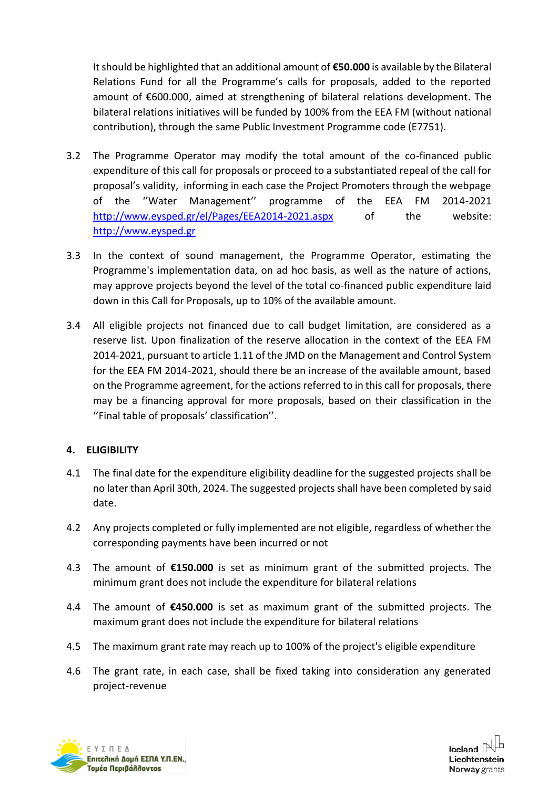It should be highlighted that an additional amount of **€50.000** is available by the Bilateral Relations Fund for all the Programme's calls for proposals, added to the reported amount of €600.000, aimed at strengthening of bilateral relations development. The bilateral relations initiatives will be funded by 100% from the EEA FM (without national contribution), through the same Public Investment Programme code (Ε7751).

- 3.2 The Programme Operator may modify the total amount of the co-financed public expenditure of this call for proposals or proceed to a substantiated repeal of the call for proposal's validity, informing in each case the Project Promoters through the webpage of the ''Water Management'' programme of the EEA FM 2014-2021 <http://www.eysped.gr/el/Pages/EEA2014-2021.aspx> of the website: [http://www.eysped.gr](http://www.eysped.gr/)
- 3.3 In the context of sound management, the Programme Operator, estimating the Programme's implementation data, on ad hoc basis, as well as the nature of actions, may approve projects beyond the level of the total co-financed public expenditure laid down in this Call for Proposals, up to 10% of the available amount.
- 3.4 All eligible projects not financed due to call budget limitation, are considered as a reserve list. Upon finalization of the reserve allocation in the context of the EEA FM 2014-2021, pursuant to article 1.11 of the JMD on the Management and Control System for the EEA FM 2014-2021, should there be an increase of the available amount, based on the Programme agreement, for the actions referred to in this call for proposals, there may be a financing approval for more proposals, based on their classification in the ''Final table of proposals' classification''.

# **4. ELIGIBILITY**

- 4.1 The final date for the expenditure eligibility deadline for the suggested projects shall be no later than April 30th, 2024. The suggested projects shall have been completed by said date.
- 4.2 Any projects completed or fully implemented are not eligible, regardless of whether the corresponding payments have been incurred or not
- 4.3 The amount of **€150.000** is set as minimum grant of the submitted projects. The minimum grant does not include the expenditure for bilateral relations
- 4.4 The amount of **€450.000** is set as maximum grant of the submitted projects. The maximum grant does not include the expenditure for bilateral relations
- 4.5 The maximum grant rate may reach up to 100% of the project's eligible expenditure
- 4.6 The grant rate, in each case, shall be fixed taking into consideration any generated project-revenue



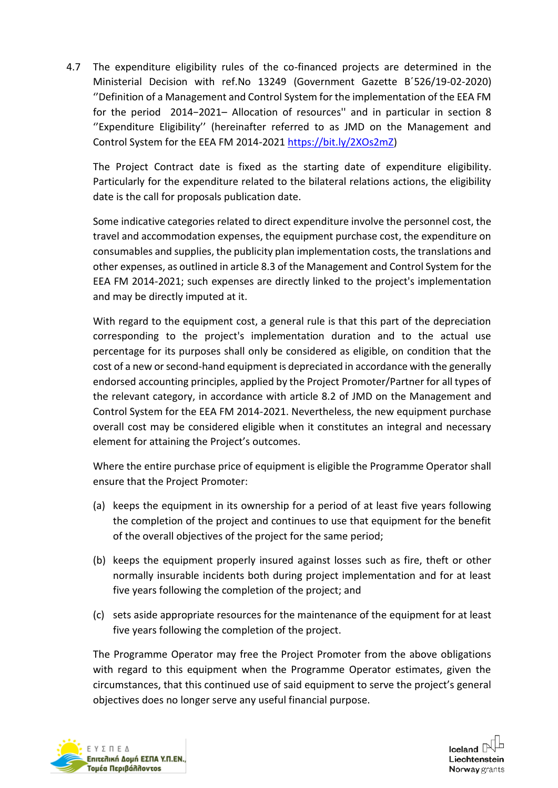4.7 The expenditure eligibility rules of the co-financed projects are determined in the Ministerial Decision with ref.No 13249 (Government Gazette Β΄526/19-02-2020) ''Definition of a Management and Control System for the implementation of the EEA FM for the period 2014−2021– Allocation of resources'' and in particular in section 8 ''Expenditure Eligibility'' (hereinafter referred to as JMD on the Management and Control System for the EEA FM 2014-2021 [https://bit.ly/2XOs2mZ\)](https://bit.ly/2XOs2mZ)

The Project Contract date is fixed as the starting date of expenditure eligibility. Particularly for the expenditure related to the bilateral relations actions, the eligibility date is the call for proposals publication date.

Some indicative categories related to direct expenditure involve the personnel cost, the travel and accommodation expenses, the equipment purchase cost, the expenditure on consumables and supplies, the publicity plan implementation costs, the translations and other expenses, as outlined in article 8.3 of the Management and Control System for the EEA FM 2014-2021; such expenses are directly linked to the project's implementation and may be directly imputed at it.

With regard to the equipment cost, a general rule is that this part of the depreciation corresponding to the project's implementation duration and to the actual use percentage for its purposes shall only be considered as eligible, on condition that the cost of a new or second-hand equipment is depreciated in accordance with the generally endorsed accounting principles, applied by the Project Promoter/Partner for all types of the relevant category, in accordance with article 8.2 of JMD on the Management and Control System for the EEA FM 2014-2021. Nevertheless, the new equipment purchase overall cost may be considered eligible when it constitutes an integral and necessary element for attaining the Project's outcomes.

Where the entire purchase price of equipment is eligible the Programme Operator shall ensure that the Project Promoter:

- (a) keeps the equipment in its ownership for a period of at least five years following the completion of the project and continues to use that equipment for the benefit of the overall objectives of the project for the same period;
- (b) keeps the equipment properly insured against losses such as fire, theft or other normally insurable incidents both during project implementation and for at least five years following the completion of the project; and
- (c) sets aside appropriate resources for the maintenance of the equipment for at least five years following the completion of the project.

The Programme Operator may free the Project Promoter from the above obligations with regard to this equipment when the Programme Operator estimates, given the circumstances, that this continued use of said equipment to serve the project's general objectives does no longer serve any useful financial purpose.



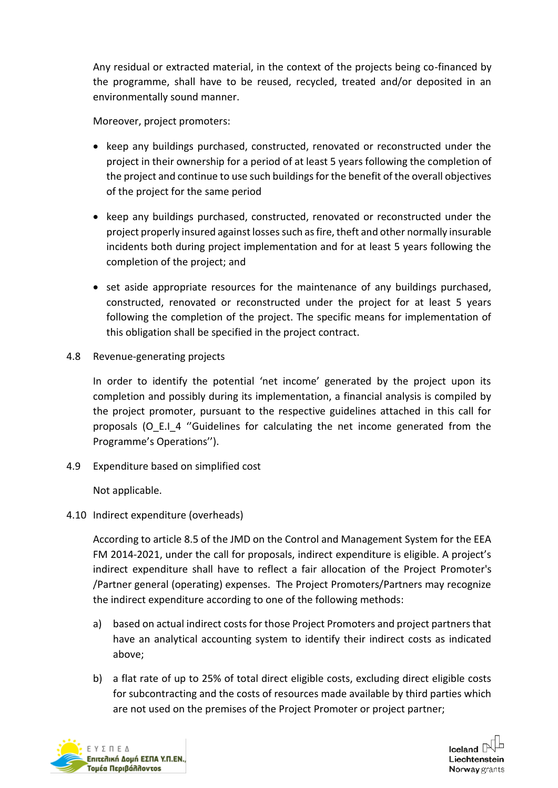Any residual or extracted material, in the context of the projects being co-financed by the programme, shall have to be reused, recycled, treated and/or deposited in an environmentally sound manner.

Moreover, project promoters:

- keep any buildings purchased, constructed, renovated or reconstructed under the project in their ownership for a period of at least 5 years following the completion of the project and continue to use such buildings for the benefit of the overall objectives of the project for the same period
- keep any buildings purchased, constructed, renovated or reconstructed under the project properly insured against losses such as fire, theft and other normally insurable incidents both during project implementation and for at least 5 years following the completion of the project; and
- set aside appropriate resources for the maintenance of any buildings purchased, constructed, renovated or reconstructed under the project for at least 5 years following the completion of the project. The specific means for implementation of this obligation shall be specified in the project contract.
- 4.8 Revenue-generating projects

In order to identify the potential 'net income' generated by the project upon its completion and possibly during its implementation, a financial analysis is compiled by the project promoter, pursuant to the respective guidelines attached in this call for proposals (O\_E.I\_4 "Guidelines for calculating the net income generated from the Programme's Operations'').

4.9 Expenditure based on simplified cost

Not applicable.

# 4.10 Indirect expenditure (overheads)

According to article 8.5 of the JMD on the Control and Management System for the EEA FM 2014-2021, under the call for proposals, indirect expenditure is eligible. A project's indirect expenditure shall have to reflect a fair allocation of the Project Promoter's /Partner general (operating) expenses. The Project Promoters/Partners may recognize the indirect expenditure according to one of the following methods:

- a) based on actual indirect costs for those Project Promoters and project partners that have an analytical accounting system to identify their indirect costs as indicated above;
- b) a flat rate of up to 25% of total direct eligible costs, excluding direct eligible costs for subcontracting and the costs of resources made available by third parties which are not used on the premises of the Project Promoter or project partner;



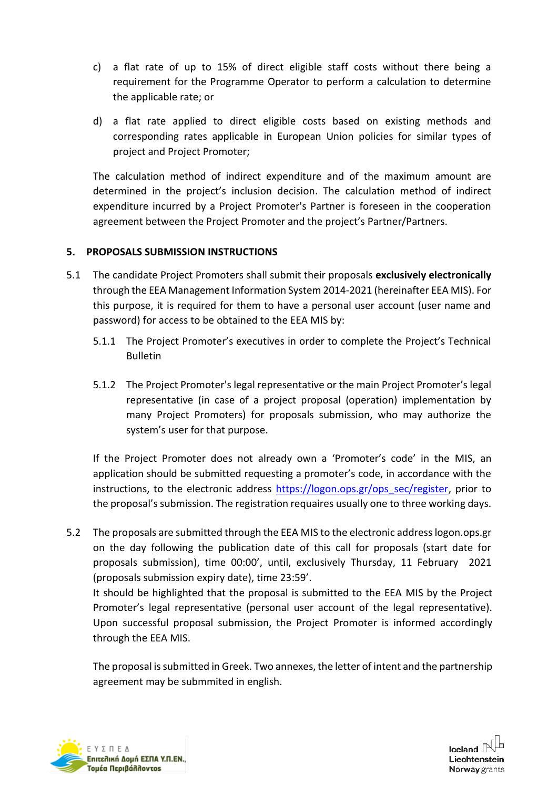- c) a flat rate of up to 15% of direct eligible staff costs without there being a requirement for the Programme Operator to perform a calculation to determine the applicable rate; or
- d) a flat rate applied to direct eligible costs based on existing methods and corresponding rates applicable in European Union policies for similar types of project and Project Promoter;

The calculation method of indirect expenditure and of the maximum amount are determined in the project's inclusion decision. The calculation method of indirect expenditure incurred by a Project Promoter's Partner is foreseen in the cooperation agreement between the Project Promoter and the project's Partner/Partners.

## **5. PROPOSALS SUBMISSION INSTRUCTIONS**

- 5.1 The candidate Project Promoters shall submit their proposals **exclusively electronically** through the EEA Management Information System 2014-2021 (hereinafter EEA MIS). For this purpose, it is required for them to have a personal user account (user name and password) for access to be obtained to the EEA MIS by:
	- 5.1.1 The Project Promoter's executives in order to complete the Project's Technical Bulletin
	- 5.1.2 The Project Promoter's legal representative or the main Project Promoter's legal representative (in case of a project proposal (operation) implementation by many Project Promoters) for proposals submission, who may authorize the system's user for that purpose.

If the Project Promoter does not already own a 'Promoter's code' in the MIS, an application should be submitted requesting a promoter's code, in accordance with the instructions, to the electronic address [https://logon.ops.gr/ops\\_sec/register,](https://logon.ops.gr/ops_sec/register) prior to the proposal's submission. The registration requaires usually one to three working days.

5.2 The proposals are submitted through the EEA MIS to the electronic address logon.ops.gr on the day following the publication date of this call for proposals (start date for proposals submission), time 00:00', until, exclusively Thursday, 11 February 2021 (proposals submission expiry date), time 23:59'.

It should be highlighted that the proposal is submitted to the EEA MIS by the Project Promoter's legal representative (personal user account of the legal representative). Upon successful proposal submission, the Project Promoter is informed accordingly through the EEA MIS.

The proposal is submitted in Greek. Two annexes, the letter of intent and the partnership agreement may be submmited in english.



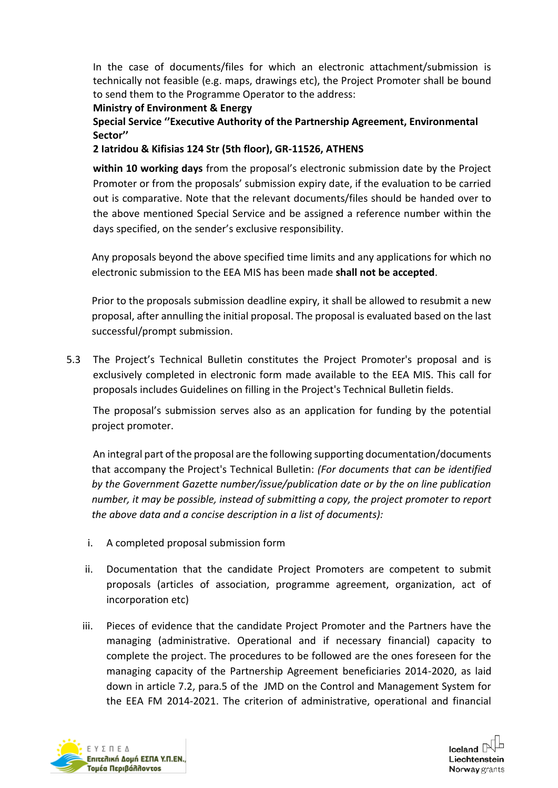In the case of documents/files for which an electronic attachment/submission is technically not feasible (e.g. maps, drawings etc), the Project Promoter shall be bound to send them to the Programme Operator to the address:

**Ministry of Environment & Energy**

**Special Service ''Executive Authority of the Partnership Agreement, Environmental Sector''** 

**2 Iatridou & Kifisias 124 Str (5th floor), GR-11526, ATHENS**

**within 10 working days** from the proposal's electronic submission date by the Project Promoter or from the proposals' submission expiry date, if the evaluation to be carried out is comparative. Note that the relevant documents/files should be handed over to the above mentioned Special Service and be assigned a reference number within the days specified, on the sender's exclusive responsibility.

Any proposals beyond the above specified time limits and any applications for which no electronic submission to the EEA MIS has been made **shall not be accepted**.

Prior to the proposals submission deadline expiry, it shall be allowed to resubmit a new proposal, after annulling the initial proposal. The proposal is evaluated based on the last successful/prompt submission.

5.3 The Project's Technical Bulletin constitutes the Project Promoter's proposal and is exclusively completed in electronic form made available to the EEA MIS. This call for proposals includes Guidelines on filling in the Project's Technical Bulletin fields.

The proposal's submission serves also as an application for funding by the potential project promoter.

An integral part of the proposal are the following supporting documentation/documents that accompany the Project's Technical Bulletin: *(For documents that can be identified by the Government Gazette number/issue/publication date or by the on line publication number, it may be possible, instead of submitting a copy, the project promoter to report the above data and a concise description in a list of documents):* 

- i. A completed proposal submission form
- ii. Documentation that the candidate Project Promoters are competent to submit proposals (articles of association, programme agreement, organization, act of incorporation etc)
- iii. Pieces of evidence that the candidate Project Promoter and the Partners have the managing (administrative. Operational and if necessary financial) capacity to complete the project. The procedures to be followed are the ones foreseen for the managing capacity of the Partnership Agreement beneficiaries 2014-2020, as laid down in article 7.2, para.5 of the JMD on the Control and Management System for the EEA FM 2014-2021. The criterion of administrative, operational and financial



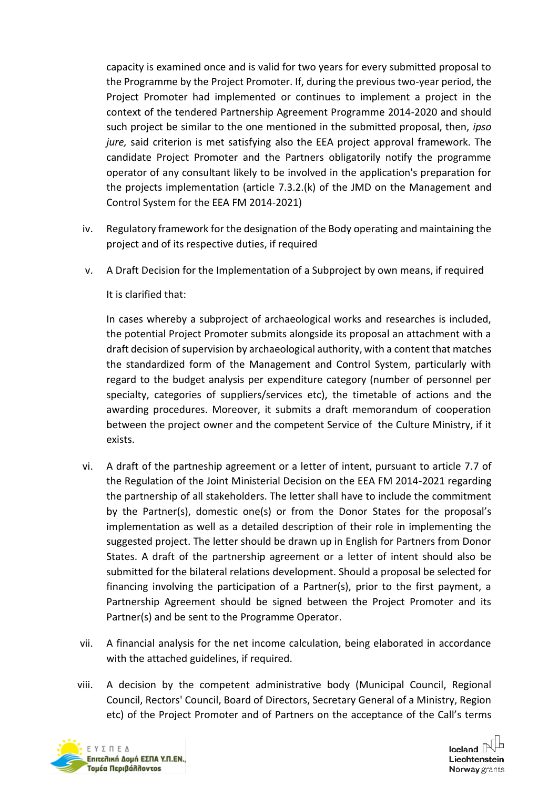capacity is examined once and is valid for two years for every submitted proposal to the Programme by the Project Promoter. If, during the previous two-year period, the Project Promoter had implemented or continues to implement a project in the context of the tendered Partnership Agreement Programme 2014-2020 and should such project be similar to the one mentioned in the submitted proposal, then, *ipso jure,* said criterion is met satisfying also the EEA project approval framework. The candidate Project Promoter and the Partners obligatorily notify the programme operator of any consultant likely to be involved in the application's preparation for the projects implementation (article 7.3.2.(k) of the JMD on the Management and Control System for the EEA FM 2014-2021)

- iv. Regulatory framework for the designation of the Body operating and maintaining the project and of its respective duties, if required
- v. A Draft Decision for the Implementation of a Subproject by own means, if required

It is clarified that:

In cases whereby a subproject of archaeological works and researches is included, the potential Project Promoter submits alongside its proposal an attachment with a draft decision of supervision by archaeological authority, with a content that matches the standardized form of the Management and Control System, particularly with regard to the budget analysis per expenditure category (number of personnel per specialty, categories of suppliers/services etc), the timetable of actions and the awarding procedures. Moreover, it submits a draft memorandum of cooperation between the project owner and the competent Service of the Culture Ministry, if it exists.

- vi. A draft of the partneship agreement or a letter of intent, pursuant to article 7.7 of the Regulation of the Joint Ministerial Decision on the EEA FM 2014-2021 regarding the partnership of all stakeholders. The letter shall have to include the commitment by the Partner(s), domestic one(s) or from the Donor States for the proposal's implementation as well as a detailed description of their role in implementing the suggested project. The letter should be drawn up in English for Partners from Donor States. A draft of the partnership agreement or a letter of intent should also be submitted for the bilateral relations development. Should a proposal be selected for financing involving the participation of a Partner(s), prior to the first payment, a Partnership Agreement should be signed between the Project Promoter and its Partner(s) and be sent to the Programme Operator.
- vii. A financial analysis for the net income calculation, being elaborated in accordance with the attached guidelines, if required.
- viii. A decision by the competent administrative body (Municipal Council, Regional Council, Rectors' Council, Board of Directors, Secretary General of a Ministry, Region etc) of the Project Promoter and of Partners on the acceptance of the Call's terms



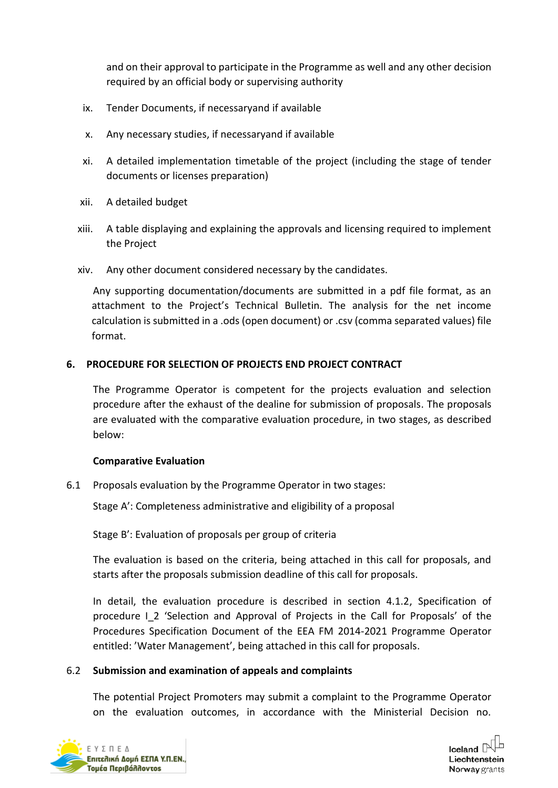and on their approval to participate in the Programme as well and any other decision required by an official body or supervising authority

- ix. Tender Documents, if necessaryand if available
- x. Any necessary studies, if necessaryand if available
- xi. A detailed implementation timetable of the project (including the stage of tender documents or licenses preparation)
- xii. A detailed budget
- xiii. A table displaying and explaining the approvals and licensing required to implement the Project
- xiv. Any other document considered necessary by the candidates.

Any supporting documentation/documents are submitted in a pdf file format, as an attachment to the Project's Technical Bulletin. The analysis for the net income calculation is submitted in a .ods (open document) or .csv (comma separated values) file format.

## **6. PROCEDURE FOR SELECTION OF PROJECTS END PROJECT CONTRACT**

The Programme Operator is competent for the projects evaluation and selection procedure after the exhaust of the dealine for submission of proposals. The proposals are evaluated with the comparative evaluation procedure, in two stages, as described below:

### **Comparative Evaluation**

6.1 Proposals evaluation by the Programme Operator in two stages:

Stage A': Completeness administrative and eligibility of a proposal

Stage B': Evaluation of proposals per group of criteria

The evaluation is based on the criteria, being attached in this call for proposals, and starts after the proposals submission deadline of this call for proposals.

In detail, the evaluation procedure is described in section 4.1.2, Specification of procedure Ι\_2 'Selection and Approval of Projects in the Call for Proposals' of the Procedures Specification Document of the EEA FM 2014-2021 Programme Operator entitled: 'Water Management', being attached in this call for proposals.

### 6.2 **Submission and examination of appeals and complaints**

The potential Project Promoters may submit a complaint to the Programme Operator on the evaluation outcomes, in accordance with the Ministerial Decision no.



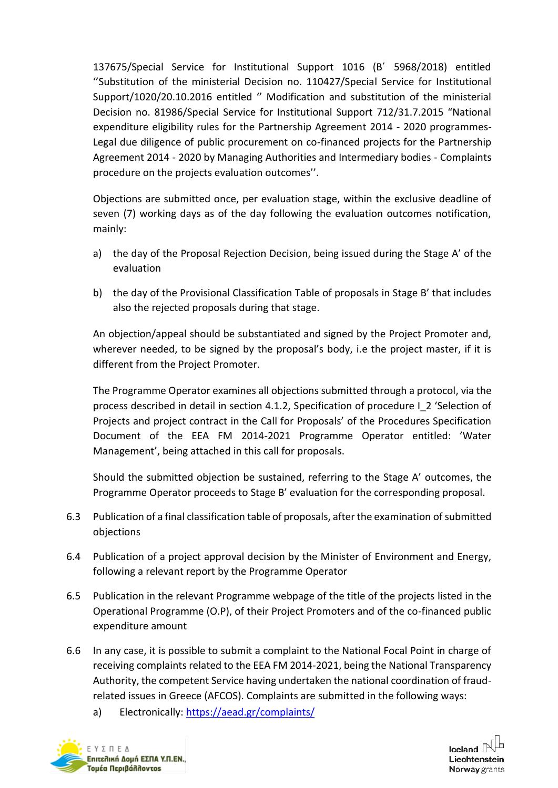137675/Special Service for Institutional Support 1016 (Β΄ 5968/2018) entitled ''Substitution of the ministerial Decision no. 110427/Special Service for Institutional Support/1020/20.10.2016 entitled '' Modification and substitution of the ministerial Decision no. 81986/Special Service for Institutional Support 712/31.7.2015 "National expenditure eligibility rules for the Partnership Agreement 2014 - 2020 programmes-Legal due diligence of public procurement on co-financed projects for the Partnership Agreement 2014 - 2020 by Managing Authorities and Intermediary bodies - Complaints procedure on the projects evaluation outcomes''.

Objections are submitted once, per evaluation stage, within the exclusive deadline of seven (7) working days as of the day following the evaluation outcomes notification, mainly:

- a) the day of the Proposal Rejection Decision, being issued during the Stage A' of the evaluation
- b) the day of the Provisional Classification Table of proposals in Stage B' that includes also the rejected proposals during that stage.

An objection/appeal should be substantiated and signed by the Project Promoter and, wherever needed, to be signed by the proposal's body, i.e the project master, if it is different from the Project Promoter.

The Programme Operator examines all objections submitted through a protocol, via the process described in detail in section 4.1.2, Specification of procedure Ι\_2 'Selection of Projects and project contract in the Call for Proposals' of the Procedures Specification Document of the EEA FM 2014-2021 Programme Operator entitled: 'Water Management', being attached in this call for proposals.

Should the submitted objection be sustained, referring to the Stage A' outcomes, the Programme Operator proceeds to Stage B' evaluation for the corresponding proposal.

- 6.3 Publication of a final classification table of proposals, after the examination of submitted objections
- 6.4 Publication of a project approval decision by the Minister of Environment and Energy, following a relevant report by the Programme Operator
- 6.5 Publication in the relevant Programme webpage of the title of the projects listed in the Operational Programme (O.P), of their Project Promoters and of the co-financed public expenditure amount
- 6.6 In any case, it is possible to submit a complaint to the National Focal Point in charge of receiving complaints related to the EEA FM 2014-2021, being the National Transparency Authority, the competent Service having undertaken the national coordination of fraudrelated issues in Greece (AFCOS). Complaints are submitted in the following ways:
	- a) Electronically:<https://aead.gr/complaints/>



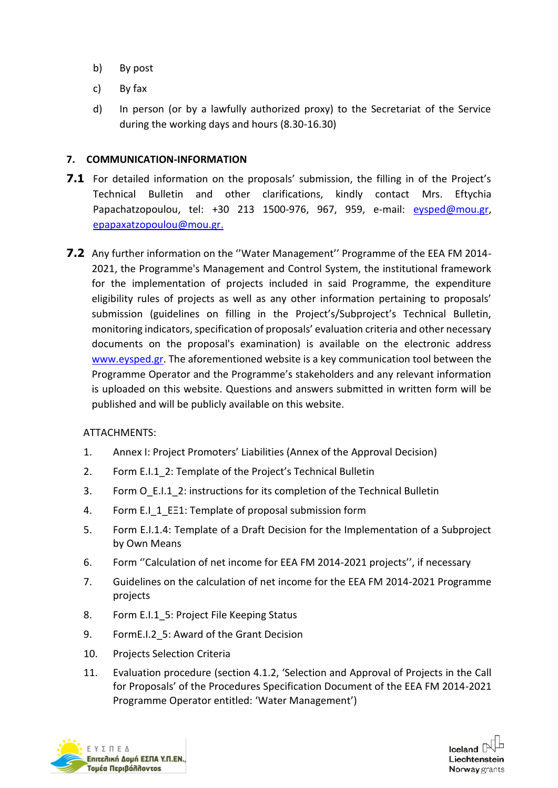- b) By post
- c) By fax
- d) In person (or by a lawfully authorized proxy) to the Secretariat of the Service during the working days and hours (8.30-16.30)

### **7. COMMUNICATION-INFORMATION**

- 7.1 For detailed information on the proposals' submission, the filling in of the Project's Technical Bulletin and other clarifications, kindly contact Mrs. Eftychia Papachatzopoulou, tel: +30 213 1500-976, 967, 959, e-mail: [eysped@mou.gr,](mailto:eysped@mou.gr) [epapaxatzopoulou@mou.gr.](mailto:epapaxatzopoulou@mou.gr)
- **7.2** Any further information on the ''Water Management'' Programme of the EEA FM 2014- 2021, the Programme's Management and Control System, the institutional framework for the implementation of projects included in said Programme, the expenditure eligibility rules of projects as well as any other information pertaining to proposals' submission (guidelines on filling in the Project's/Subproject's Technical Bulletin, monitoring indicators, specification of proposals' evaluation criteria and other necessary documents on the proposal's examination) is available on the electronic address [www.eysped.gr.](http://www.eysped.gr/) The aforementioned website is a key communication tool between the Programme Operator and the Programme's stakeholders and any relevant information is uploaded on this website. Questions and answers submitted in written form will be published and will be publicly available on this website.

#### ATTACHMENTS:

- 1. Annex I: Project Promoters' Liabilities (Annex of the Approval Decision)
- 2. Form Ε.Ι.1\_2: Template of the Project's Technical Bulletin
- 3. Form Ο\_Ε.Ι.1\_2: instructions for its completion of the Technical Bulletin
- 4. Form Ε.Ι\_1\_ΕΞ1: Template of proposal submission form
- 5. Form Ε.Ι.1.4: Template of a Draft Decision for the Implementation of a Subproject by Own Means
- 6. Form ''Calculation of net income for EEA FM 2014-2021 projects'', if necessary
- 7. Guidelines on the calculation of net income for the EEA FM 2014-2021 Programme projects
- 8. Form Ε.Ι.1\_5: Project File Keeping Status
- 9. FormΕ.Ι.2\_5: Award of the Grant Decision
- 10. Projects Selection Criteria
- 11. Evaluation procedure (section 4.1.2, 'Selection and Approval of Projects in the Call for Proposals' of the Procedures Specification Document of the EEA FM 2014-2021 Programme Operator entitled: 'Water Management')



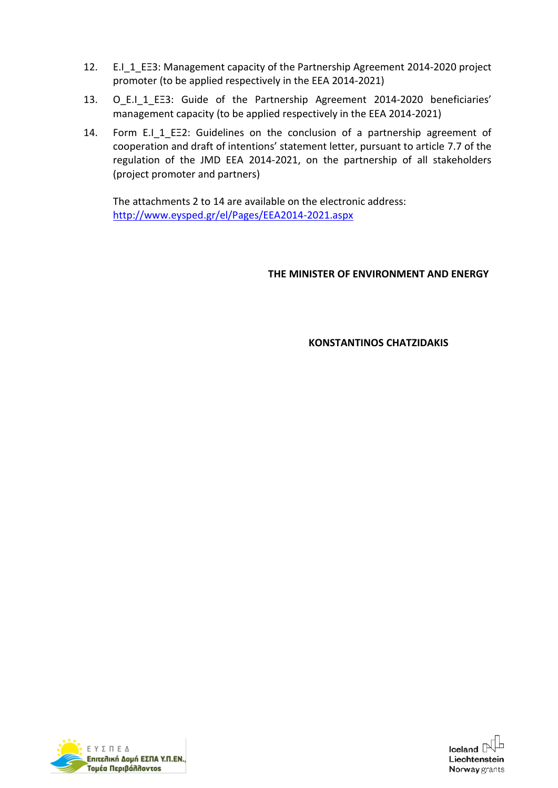- 12. Ε.Ι\_1\_ΕΞ3: Management capacity of the Partnership Agreement 2014-2020 project promoter (to be applied respectively in the EEA 2014-2021)
- 13. O E.I 1 ΕΞ3: Guide of the Partnership Agreement 2014-2020 beneficiaries' management capacity (to be applied respectively in the EEA 2014-2021)
- 14. Form E.I\_1\_EE2: Guidelines on the conclusion of a partnership agreement of cooperation and draft of intentions' statement letter, pursuant to article 7.7 of the regulation of the JMD EEA 2014-2021, on the partnership of all stakeholders (project promoter and partners)

The attachments 2 to 14 are available on the electronic address: <http://www.eysped.gr/el/Pages/EEA2014-2021.aspx>

### **THE MINISTER OF ENVIRONMENT AND ENERGY**

**KONSTANTINOS CHATZIDAKIS**



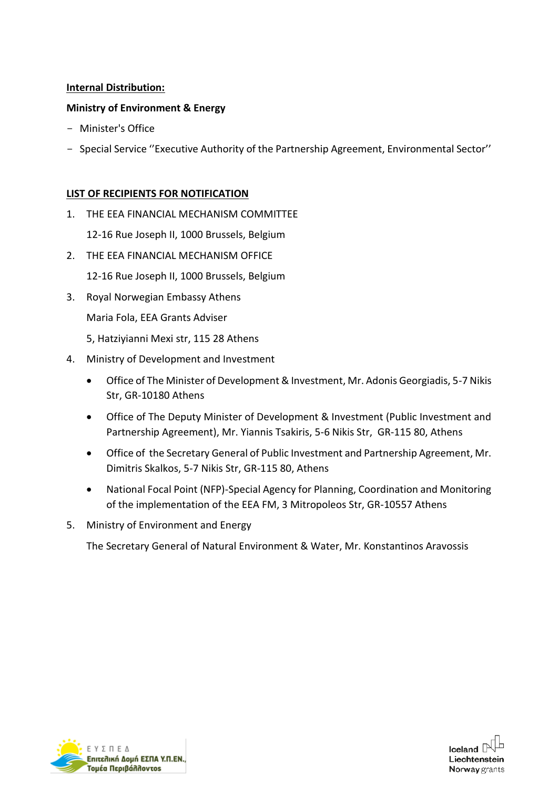### **Internal Distribution:**

#### **Ministry of Environment & Energy**

- Minister's Office
- Special Service ''Executive Authority of the Partnership Agreement, Environmental Sector''

#### **LIST OF RECIPIENTS FOR NOTIFICATION**

1. THE EEA FINANCIAL MECHANISM COMMITTEE

12-16 Rue Joseph II, 1000 Brussels, Belgium

- 2. THE FEA FINANCIAL MECHANISM OFFICE
	- 12-16 Rue Joseph II, 1000 Brussels, Belgium
- 3. Royal Norwegian Embassy Athens

Maria Fola, EEA Grants Adviser

- 5, Hatziyianni Mexi str, 115 28 Athens
- 4. Ministry of Development and Investment
	- Office of The Minister of Development & Investment, Mr. Adonis Georgiadis, 5-7 Nikis Str, GR-10180 Athens
	- Office of The Deputy Minister of Development & Investment (Public Investment and Partnership Agreement), Mr. Yiannis Tsakiris, 5-6 Nikis Str, GR-115 80, Athens
	- Office of the Secretary General of Public Investment and Partnership Agreement, Mr. Dimitris Skalkos, 5-7 Nikis Str, GR-115 80, Athens
	- National Focal Point (NFP)-Special Agency for Planning, Coordination and Monitoring of the implementation of the EEA FM, 3 Mitropoleos Str, GR-10557 Athens
- 5. Ministry of Environment and Energy

The Secretary General of Natural Environment & Water, Mr. Konstantinos Aravossis



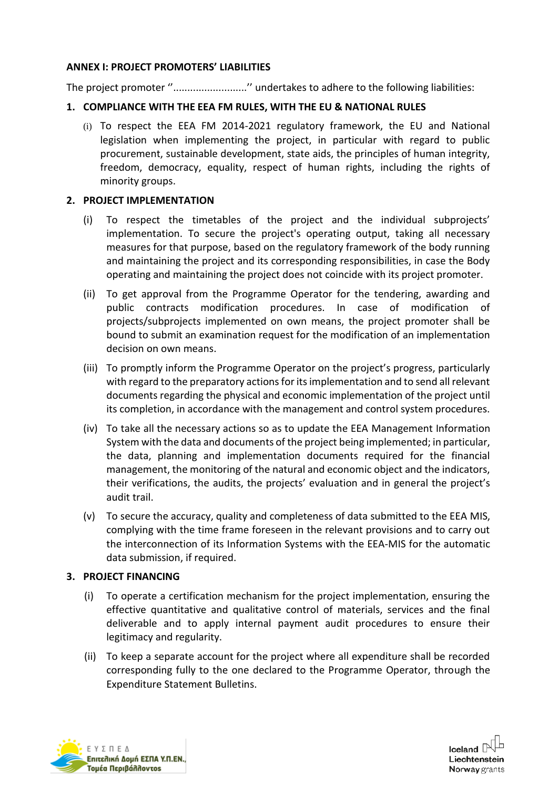#### **ANNEX I: PROJECT PROMOTERS' LIABILITIES**

The project promoter "............................" undertakes to adhere to the following liabilities:

### **1. COMPLIANCE WITH THE EEA FM RULES, WITH THE EU & NATIONAL RULES**

(i) To respect the EEA FM 2014-2021 regulatory framework, the EU and National legislation when implementing the project, in particular with regard to public procurement, sustainable development, state aids, the principles of human integrity, freedom, democracy, equality, respect of human rights, including the rights of minority groups.

### **2. PROJECT IMPLEMENTATION**

- (i) To respect the timetables of the project and the individual subprojects' implementation. To secure the project's operating output, taking all necessary measures for that purpose, based on the regulatory framework of the body running and maintaining the project and its corresponding responsibilities, in case the Body operating and maintaining the project does not coincide with its project promoter.
- (ii) To get approval from the Programme Operator for the tendering, awarding and public contracts modification procedures. In case of modification of projects/subprojects implemented on own means, the project promoter shall be bound to submit an examination request for the modification of an implementation decision on own means.
- (iii) To promptly inform the Programme Operator on the project's progress, particularly with regard to the preparatory actions for its implementation and to send all relevant documents regarding the physical and economic implementation of the project until its completion, in accordance with the management and control system procedures.
- (iv) To take all the necessary actions so as to update the EEA Management Information System with the data and documents of the project being implemented; in particular, the data, planning and implementation documents required for the financial management, the monitoring of the natural and economic object and the indicators, their verifications, the audits, the projects' evaluation and in general the project's audit trail.
- (v) To secure the accuracy, quality and completeness of data submitted to the EEA MIS, complying with the time frame foreseen in the relevant provisions and to carry out the interconnection of its Information Systems with the EEA-MIS for the automatic data submission, if required.

#### **3. PROJECT FINANCING**

- (i) To operate a certification mechanism for the project implementation, ensuring the effective quantitative and qualitative control of materials, services and the final deliverable and to apply internal payment audit procedures to ensure their legitimacy and regularity.
- (ii) To keep a separate account for the project where all expenditure shall be recorded corresponding fully to the one declared to the Programme Operator, through the Expenditure Statement Bulletins.



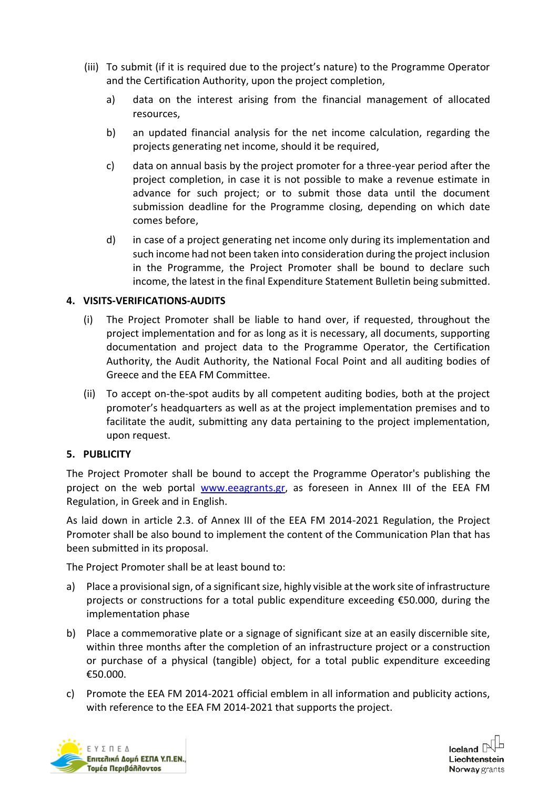- (iii) To submit (if it is required due to the project's nature) to the Programme Operator and the Certification Authority, upon the project completion,
	- a) data on the interest arising from the financial management of allocated resources,
	- b) an updated financial analysis for the net income calculation, regarding the projects generating net income, should it be required,
	- c) data on annual basis by the project promoter for a three-year period after the project completion, in case it is not possible to make a revenue estimate in advance for such project; or to submit those data until the document submission deadline for the Programme closing, depending on which date comes before,
	- d) in case of a project generating net income only during its implementation and such income had not been taken into consideration during the project inclusion in the Programme, the Project Promoter shall be bound to declare such income, the latest in the final Expenditure Statement Bulletin being submitted.

### **4. VISITS-VERIFICATIONS-AUDITS**

- (i) The Project Promoter shall be liable to hand over, if requested, throughout the project implementation and for as long as it is necessary, all documents, supporting documentation and project data to the Programme Operator, the Certification Authority, the Audit Authority, the National Focal Point and all auditing bodies of Greece and the EEA FM Committee.
- (ii) To accept on-the-spot audits by all competent auditing bodies, both at the project promoter's headquarters as well as at the project implementation premises and to facilitate the audit, submitting any data pertaining to the project implementation, upon request.

#### **5. PUBLICITY**

The Project Promoter shall be bound to accept the Programme Operator's publishing the project on the web portal www.eeagrants.gr, as foreseen in Annex III of the EEA FM Regulation, in Greek and in English.

As laid down in article 2.3. of Annex III of the EEA FM 2014-2021 Regulation, the Project Promoter shall be also bound to implement the content of the Communication Plan that has been submitted in its proposal.

The Project Promoter shall be at least bound to:

- a) Place a provisional sign, of a significant size, highly visible at the work site of infrastructure projects or constructions for a total public expenditure exceeding €50.000, during the implementation phase
- b) Place a commemorative plate or a signage of significant size at an easily discernible site, within three months after the completion of an infrastructure project or a construction or purchase of a physical (tangible) object, for a total public expenditure exceeding €50.000.
- c) Promote the EEA FM 2014-2021 official emblem in all information and publicity actions, with reference to the EEA FM 2014-2021 that supports the project.



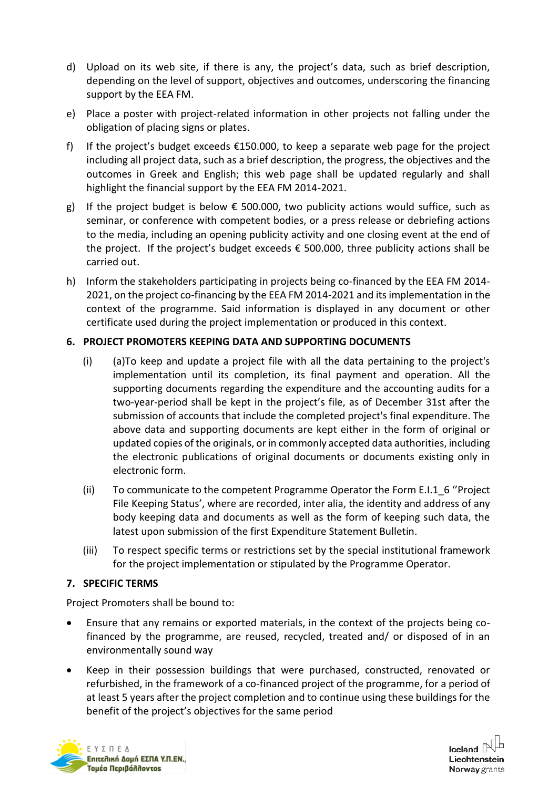- d) Upload on its web site, if there is any, the project's data, such as brief description, depending on the level of support, objectives and outcomes, underscoring the financing support by the EEA FM.
- e) Place a poster with project-related information in other projects not falling under the obligation of placing signs or plates.
- f) If the project's budget exceeds  $£150.000$ , to keep a separate web page for the project including all project data, such as a brief description, the progress, the objectives and the outcomes in Greek and English; this web page shall be updated regularly and shall highlight the financial support by the EEA FM 2014-2021.
- g) If the project budget is below  $\epsilon$  500.000, two publicity actions would suffice, such as seminar, or conference with competent bodies, or a press release or debriefing actions to the media, including an opening publicity activity and one closing event at the end of the project. If the project's budget exceeds  $\epsilon$  500.000, three publicity actions shall be carried out.
- h) Inform the stakeholders participating in projects being co-financed by the EEA FM 2014- 2021, on the project co-financing by the EEA FM 2014-2021 and its implementation in the context of the programme. Said information is displayed in any document or other certificate used during the project implementation or produced in this context.

### **6. PROJECT PROMOTERS KEEPING DATA AND SUPPORTING DOCUMENTS**

- (i) (a)To keep and update a project file with all the data pertaining to the project's implementation until its completion, its final payment and operation. All the supporting documents regarding the expenditure and the accounting audits for a two-year-period shall be kept in the project's file, as of December 31st after the submission of accounts that include the completed project's final expenditure. The above data and supporting documents are kept either in the form of original or updated copies of the originals, or in commonly accepted data authorities, including the electronic publications of original documents or documents existing only in electronic form.
- (ii) To communicate to the competent Programme Operator the Form E.I.1\_6 "Project File Keeping Status', where are recorded, inter alia, the identity and address of any body keeping data and documents as well as the form of keeping such data, the latest upon submission of the first Expenditure Statement Bulletin.
- (iii) To respect specific terms or restrictions set by the special institutional framework for the project implementation or stipulated by the Programme Operator.

### **7. SPECIFIC TERMS**

Project Promoters shall be bound to:

- Ensure that any remains or exported materials, in the context of the projects being cofinanced by the programme, are reused, recycled, treated and/ or disposed of in an environmentally sound way
- Keep in their possession buildings that were purchased, constructed, renovated or refurbished, in the framework of a co-financed project of the programme, for a period of at least 5 years after the project completion and to continue using these buildings for the benefit of the project's objectives for the same period